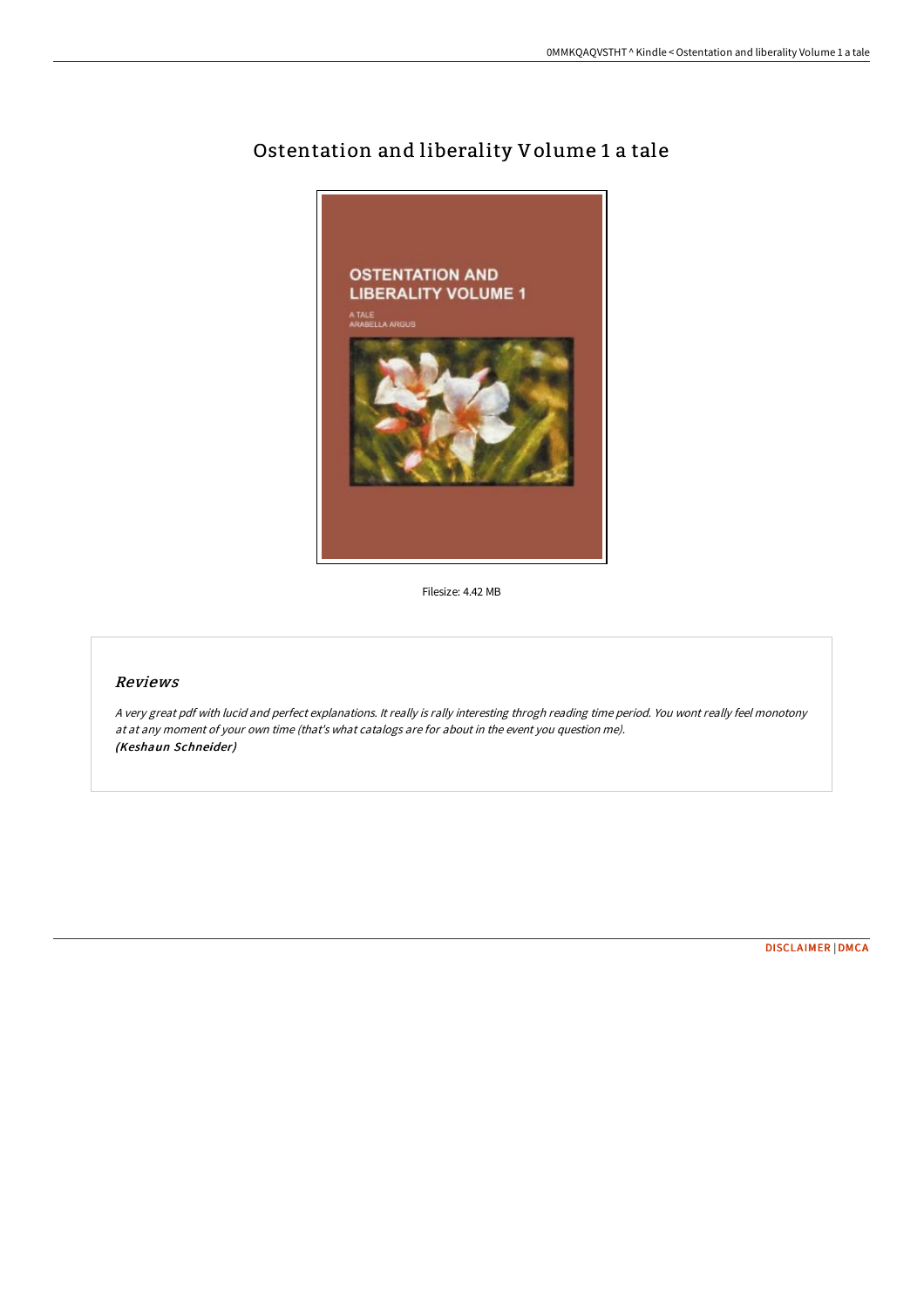

# Ostentation and liberality Volume 1 a tale

Filesize: 4.42 MB

# Reviews

<sup>A</sup> very great pdf with lucid and perfect explanations. It really is rally interesting throgh reading time period. You wont really feel monotony at at any moment of your own time (that's what catalogs are for about in the event you question me). (Keshaun Schneider)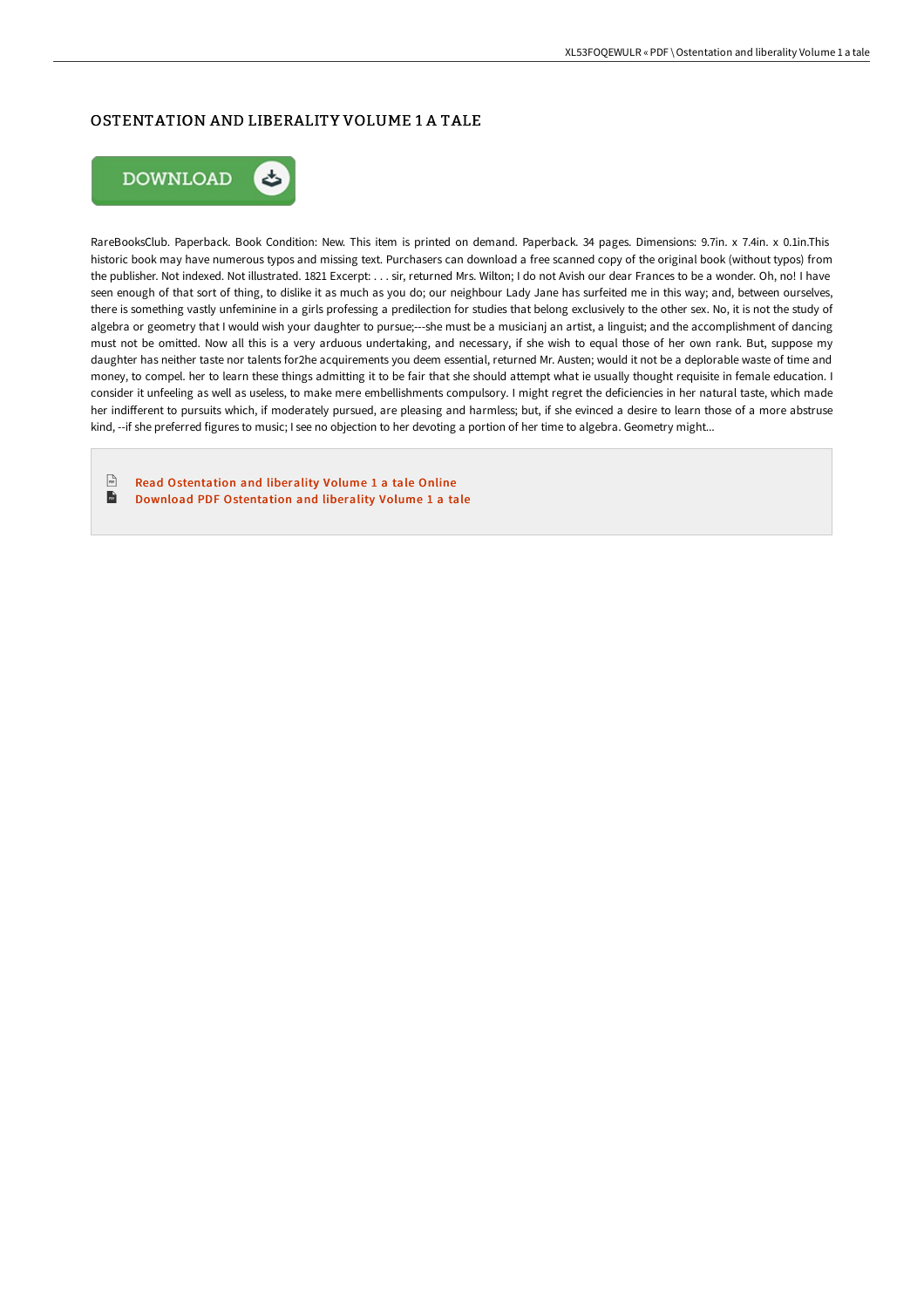## OSTENTATION AND LIBERALITY VOLUME 1 A TALE



RareBooksClub. Paperback. Book Condition: New. This item is printed on demand. Paperback. 34 pages. Dimensions: 9.7in. x 7.4in. x 0.1in.This historic book may have numerous typos and missing text. Purchasers can download a free scanned copy of the original book (without typos) from the publisher. Not indexed. Not illustrated. 1821 Excerpt: . . . sir, returned Mrs. Wilton; I do not Avish our dear Frances to be a wonder. Oh, no! I have seen enough of that sort of thing, to dislike it as much as you do; our neighbour Lady Jane has surfeited me in this way; and, between ourselves, there is something vastly unfeminine in a girls professing a predilection for studies that belong exclusively to the other sex. No, it is not the study of algebra or geometry that I would wish your daughter to pursue;---she must be a musicianj an artist, a linguist; and the accomplishment of dancing must not be omitted. Now all this is a very arduous undertaking, and necessary, if she wish to equal those of her own rank. But, suppose my daughter has neither taste nor talents for2he acquirements you deem essential, returned Mr. Austen; would it not be a deplorable waste of time and money, to compel. her to learn these things admitting it to be fair that she should attempt what ie usually thought requisite in female education. I consider it unfeeling as well as useless, to make mere embellishments compulsory. I might regret the deficiencies in her natural taste, which made her indifferent to pursuits which, if moderately pursued, are pleasing and harmless; but, if she evinced a desire to learn those of a more abstruse kind, --if she preferred figures to music; I see no objection to her devoting a portion of her time to algebra. Geometry might...

 $\frac{1}{16}$ Read [Ostentation](http://digilib.live/ostentation-and-liberality-volume-1-a-tale.html) and liberality Volume 1 a tale Online  $\overline{\mathbf{m}}$ Download PDF [Ostentation](http://digilib.live/ostentation-and-liberality-volume-1-a-tale.html) and liberality Volume 1 a tale